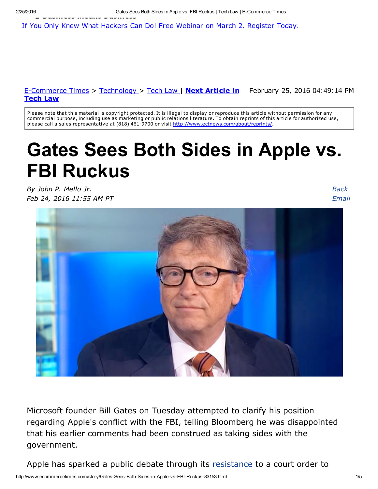If You Only Knew What [Hackers](http://www.ecommercetimes.com/) Can Do! Free [Webinar](http://www.ecommercetimes.com/story/Gates-Sees-Both-Sides-in-Apple-vs-FBI-Ruckus-83153.html) on March 2. Register Today.

#### <u>E-Commerce Times</u> > [Technology](http://www.ecommercetimes.com/perl/section/technology/) > [Tech](http://www.ecommercetimes.com/perl/section/law/) Law | Next Article in February 25, 2016 04:49:14 PM Tech Law

Please note that this material is copyright protected. It is illegal to display or reproduce this article without permission for any commercial purpose, including use as marketing or public relations literature. To obtain reprints of this article for authorized use, please call a sales representative at (818) 461-9700 or visit http://www.ectnews.com/about/reprints/

# Gates Sees Both Sides in Apple vs. FBI Ruckus

*By John P. Mello Jr. Feb 24, 2016 11:55 AM PT*

*Back [Email](http://www.ecommercetimes.com/perl/mailit/?id=83153)*



Microsoft founder Bill Gates on Tuesday attempted to clarify his position regarding Apple's conflict with the FBI, telling Bloomberg he was disappointed that his earlier comments had been construed as taking sides with the government.

Apple has sparked a public debate through its [resistance](http://www.technewsworld.com/story/83143.html) to a court order to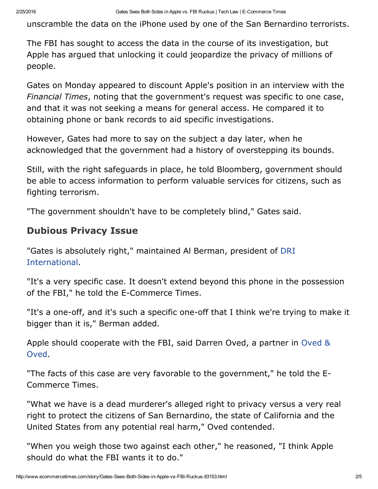unscramble the data on the iPhone used by one of the San Bernardino terrorists.

The FBI has sought to access the data in the course of its investigation, but Apple has argued that unlocking it could jeopardize the privacy of millions of people.

Gates on Monday appeared to discount Apple's position in an interview with the *Financial Times*, noting that the government's request was specific to one case, and that it was not seeking a means for general access. He compared it to obtaining phone or bank records to aid specific investigations.

However, Gates had more to say on the subject a day later, when he acknowledged that the government had a history of overstepping its bounds.

Still, with the right safeguards in place, he told Bloomberg, government should be able to access information to perform valuable services for citizens, such as fighting terrorism.

"The government shouldn't have to be completely blind," Gates said.

#### Dubious Privacy Issue

"Gates is absolutely right," maintained Al Berman, president of DRI [International.](https://drii.org/)

"It's a very specific case. It doesn't extend beyond this phone in the possession of the FBI," he told the E-Commerce Times.

"It's a one-off, and it's such a specific one-off that I think we're trying to make it bigger than it is," Berman added.

Apple should [cooperate](http://www.ovedlaw.com/) with the FBI, said Darren Oved, a partner in Oved & Oved.

"The facts of this case are very favorable to the government," he told the E-Commerce Times.

"What we have is a dead murderer's alleged right to privacy versus a very real right to protect the citizens of San Bernardino, the state of California and the United States from any potential real harm," Oved contended.

"When you weigh those two against each other," he reasoned, "I think Apple should do what the FBI wants it to do."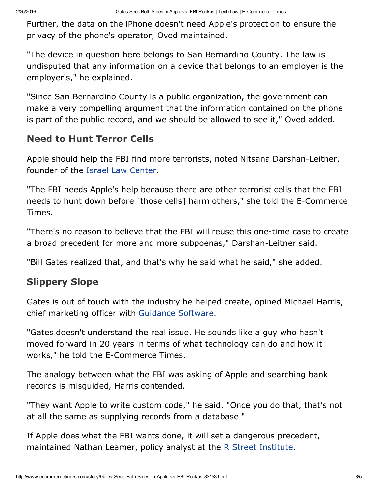Further, the data on the iPhone doesn't need Apple's protection to ensure the privacy of the phone's operator, Oved maintained.

"The device in question here belongs to San Bernardino County. The law is undisputed that any information on a device that belongs to an employer is the employer's," he explained.

"Since San Bernardino County is a public organization, the government can make a very compelling argument that the information contained on the phone is part of the public record, and we should be allowed to see it," Oved added.

#### Need to Hunt Terror Cells

Apple should help the FBI find more terrorists, noted Nitsana Darshan-Leitner, founder of the Israel Law [Center](http://israellawcenter.org/).

"The FBI needs Apple's help because there are other terrorist cells that the FBI needs to hunt down before [those cells] harm others," she told the E-Commerce Times.

"There's no reason to believe that the FBI will reuse this one-time case to create a broad precedent for more and more subpoenas," Darshan-Leitner said.

"Bill Gates realized that, and that's why he said what he said," she added.

### Slippery Slope

Gates is out of touch with the industry he helped create, opined Michael Harris, chief marketing officer with [Guidance](https://www2.guidancesoftware.com/) Software.

"Gates doesn't understand the real issue. He sounds like a guy who hasn't moved forward in 20 years in terms of what technology can do and how it works," he told the E-Commerce Times.

The analogy between what the FBI was asking of Apple and searching bank records is misguided, Harris contended.

"They want Apple to write custom code," he said. "Once you do that, that's not at all the same as supplying records from a database."

If Apple does what the FBI wants done, it will set a dangerous precedent, maintained Nathan Leamer, policy analyst at the R Street [Institute](http://www.rstreet.org/).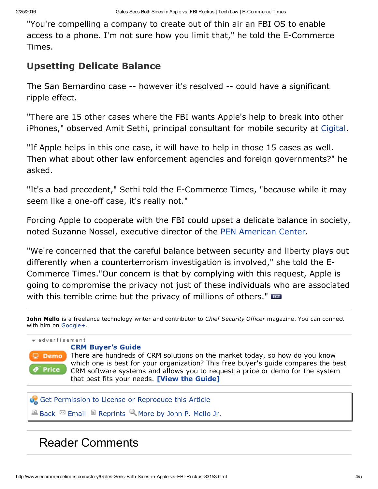"You're compelling a company to create out of thin air an FBI OS to enable access to a phone. I'm not sure how you limit that," he told the E-Commerce Times.

#### Upsetting Delicate Balance

The San Bernardino case -- however it's resolved -- could have a significant ripple effect.

"There are 15 other cases where the FBI wants Apple's help to break into other iPhones," observed Amit Sethi, principal consultant for mobile security at [Cigital](http://www.cigital.com/).

"If Apple helps in this one case, it will have to help in those 15 cases as well. Then what about other law enforcement agencies and foreign governments?" he asked.

"It's a bad precedent," Sethi told the E-Commerce Times, "because while it may seem like a one-off case, it's really not."

Forcing Apple to cooperate with the FBI could upset a delicate balance in society, noted Suzanne Nossel, executive director of the PEN [American](https://www.pen.org/) Center.

"We're concerned that the careful balance between security and liberty plays out differently when a counterterrorism investigation is involved," she told the E-Commerce Times."Our concern is that by complying with this request, Apple is going to compromise the privacy not just of these individuals who are associated with this terrible crime but the privacy of millions of others."

John Mello is a freelance technology writer and contributor to *Chief Security Officer* magazine. You can connect with him on [Google+.](https://plus.google.com/117893803669484882191?rel=author)



## Reader Comments